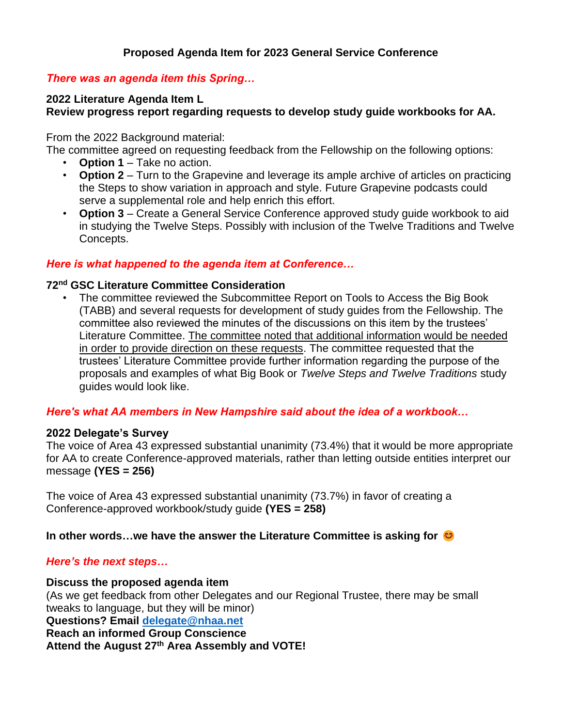## **Proposed Agenda Item for 2023 General Service Conference**

## *There was an agenda item this Spring…*

## **2022 Literature Agenda Item L**

## **Review progress report regarding requests to develop study guide workbooks for AA.**

From the 2022 Background material:

The committee agreed on requesting feedback from the Fellowship on the following options:

- **Option 1** Take no action.
- **Option 2** Turn to the Grapevine and leverage its ample archive of articles on practicing the Steps to show variation in approach and style. Future Grapevine podcasts could serve a supplemental role and help enrich this effort.
- **Option 3** Create a General Service Conference approved study guide workbook to aid in studying the Twelve Steps. Possibly with inclusion of the Twelve Traditions and Twelve Concepts.

## *Here is what happened to the agenda item at Conference…*

#### **72nd GSC Literature Committee Consideration**

• The committee reviewed the Subcommittee Report on Tools to Access the Big Book (TABB) and several requests for development of study guides from the Fellowship. The committee also reviewed the minutes of the discussions on this item by the trustees' Literature Committee. The committee noted that additional information would be needed in order to provide direction on these requests. The committee requested that the trustees' Literature Committee provide further information regarding the purpose of the proposals and examples of what Big Book or *Twelve Steps and Twelve Traditions* study guides would look like.

#### *Here's what AA members in New Hampshire said about the idea of a workbook…*

#### **2022 Delegate's Survey**

The voice of Area 43 expressed substantial unanimity (73.4%) that it would be more appropriate for AA to create Conference-approved materials, rather than letting outside entities interpret our message **(YES = 256)**

The voice of Area 43 expressed substantial unanimity (73.7%) in favor of creating a Conference-approved workbook/study guide **(YES = 258)**

#### **In other words…we have the answer the Literature Committee is asking for**

#### *Here's the next steps…*

#### **Discuss the proposed agenda item**

(As we get feedback from other Delegates and our Regional Trustee, there may be small tweaks to language, but they will be minor) **Questions? Email [delegate@nhaa.net](mailto:delegate@nhaa.net) Reach an informed Group Conscience Attend the August 27th Area Assembly and VOTE!**